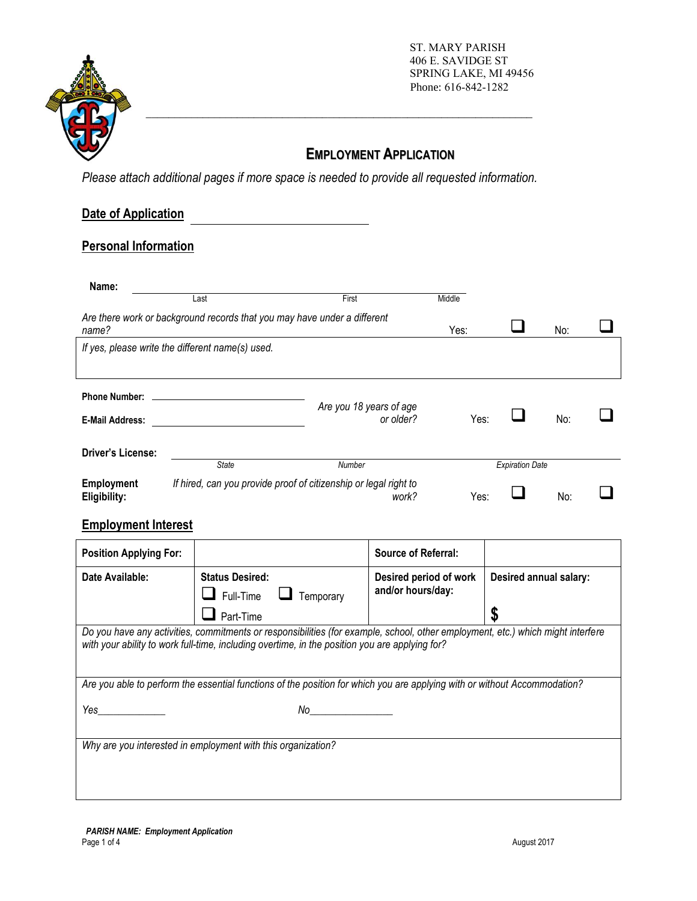

ST. MARY PARISH 406 E. SAVIDGE ST SPRING LAKE, MI 49456 Phone: 616-842-1282

# **EMPLOYMENT APPLICATION**

*Please attach additional pages if more space is needed to provide all requested information.* 

\_\_\_\_\_\_\_\_\_\_\_\_\_\_\_\_\_\_\_\_\_\_\_\_\_\_\_\_\_\_\_\_\_\_\_\_\_\_\_\_\_\_\_\_\_\_\_\_\_\_\_\_\_\_\_\_\_\_\_\_\_\_\_\_\_\_\_\_

# **Date of Application**

## **Personal Information**

| Name:                      |                                                  |                                                                           |        |                        |     |  |
|----------------------------|--------------------------------------------------|---------------------------------------------------------------------------|--------|------------------------|-----|--|
|                            | Last                                             | First                                                                     | Middle |                        |     |  |
| name?                      |                                                  | Are there work or background records that you may have under a different  | Yes:   |                        | No: |  |
|                            | If yes, please write the different name(s) used. |                                                                           |        |                        |     |  |
|                            |                                                  |                                                                           |        |                        |     |  |
| <b>Phone Number:</b>       |                                                  | Are you 18 years of age                                                   |        |                        |     |  |
| <b>E-Mail Address:</b>     |                                                  | or older?                                                                 | Yes:   |                        | No: |  |
| <b>Driver's License:</b>   |                                                  |                                                                           |        |                        |     |  |
|                            | <b>State</b>                                     | Number                                                                    |        | <b>Expiration Date</b> |     |  |
| Employment<br>Eligibility: |                                                  | If hired, can you provide proof of citizenship or legal right to<br>work? | Yes:   |                        | No: |  |

## **Employment Interest**

| <b>Position Applying For:</b>                                                                                                                                                                                                     |                                                                                                                           | <b>Source of Referral:</b>                  |                        |  |  |  |  |
|-----------------------------------------------------------------------------------------------------------------------------------------------------------------------------------------------------------------------------------|---------------------------------------------------------------------------------------------------------------------------|---------------------------------------------|------------------------|--|--|--|--|
| Date Available:                                                                                                                                                                                                                   | <b>Status Desired:</b><br>$\Box$ Full-Time<br>Temporary                                                                   | Desired period of work<br>and/or hours/day: | Desired annual salary: |  |  |  |  |
|                                                                                                                                                                                                                                   | Part-Time                                                                                                                 |                                             |                        |  |  |  |  |
| Do you have any activities, commitments or responsibilities (for example, school, other employment, etc.) which might interfere<br>with your ability to work full-time, including overtime, in the position you are applying for? |                                                                                                                           |                                             |                        |  |  |  |  |
|                                                                                                                                                                                                                                   | Are you able to perform the essential functions of the position for which you are applying with or without Accommodation? |                                             |                        |  |  |  |  |
| Yes                                                                                                                                                                                                                               | No                                                                                                                        |                                             |                        |  |  |  |  |
|                                                                                                                                                                                                                                   | Why are you interested in employment with this organization?                                                              |                                             |                        |  |  |  |  |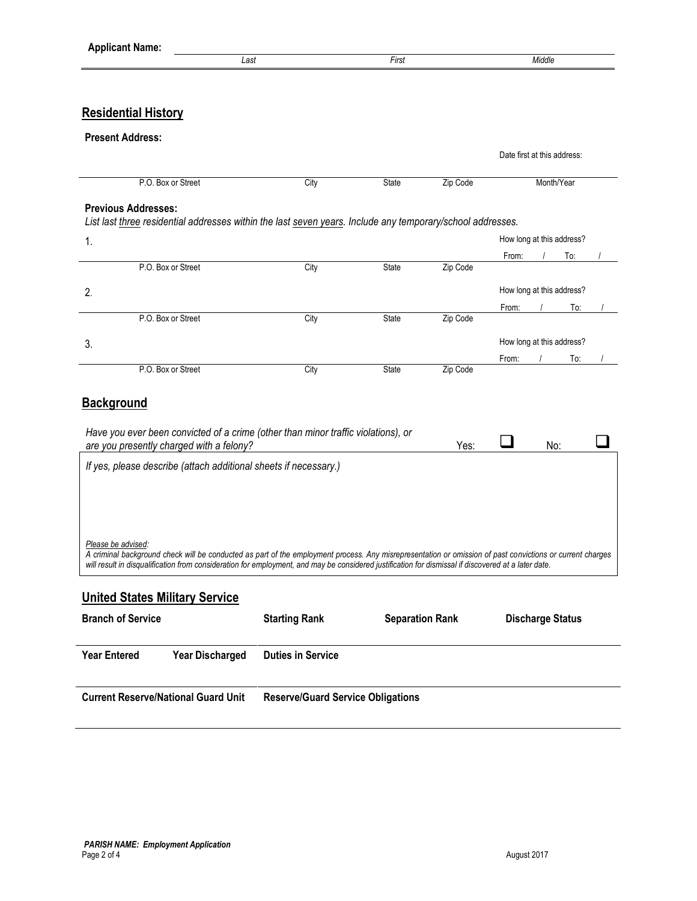|                                                                                                                                                                                                                                                                                                                                        | Last                     | First                  |          |                             | Middle                  |     |  |
|----------------------------------------------------------------------------------------------------------------------------------------------------------------------------------------------------------------------------------------------------------------------------------------------------------------------------------------|--------------------------|------------------------|----------|-----------------------------|-------------------------|-----|--|
|                                                                                                                                                                                                                                                                                                                                        |                          |                        |          |                             |                         |     |  |
| <b>Residential History</b>                                                                                                                                                                                                                                                                                                             |                          |                        |          |                             |                         |     |  |
| <b>Present Address:</b>                                                                                                                                                                                                                                                                                                                |                          |                        |          |                             |                         |     |  |
|                                                                                                                                                                                                                                                                                                                                        |                          |                        |          | Date first at this address: |                         |     |  |
| P.O. Box or Street                                                                                                                                                                                                                                                                                                                     | City                     | State                  | Zip Code |                             | Month/Year              |     |  |
| <b>Previous Addresses:</b>                                                                                                                                                                                                                                                                                                             |                          |                        |          |                             |                         |     |  |
| List last three residential addresses within the last seven years. Include any temporary/school addresses.                                                                                                                                                                                                                             |                          |                        |          |                             |                         |     |  |
| 1.                                                                                                                                                                                                                                                                                                                                     |                          |                        |          | How long at this address?   |                         |     |  |
|                                                                                                                                                                                                                                                                                                                                        |                          |                        |          | From:                       |                         | To: |  |
| P.O. Box or Street                                                                                                                                                                                                                                                                                                                     | City                     | State                  | Zip Code |                             |                         |     |  |
| 2.                                                                                                                                                                                                                                                                                                                                     |                          |                        |          | How long at this address?   |                         |     |  |
|                                                                                                                                                                                                                                                                                                                                        |                          |                        |          | From:                       | $\prime$                | To: |  |
| P.O. Box or Street                                                                                                                                                                                                                                                                                                                     | City                     | State                  | Zip Code |                             |                         |     |  |
| 3.                                                                                                                                                                                                                                                                                                                                     |                          |                        |          | How long at this address?   |                         |     |  |
|                                                                                                                                                                                                                                                                                                                                        |                          |                        |          | From:                       |                         | To: |  |
| P.O. Box or Street                                                                                                                                                                                                                                                                                                                     | City                     | State                  | Zip Code |                             |                         |     |  |
| Have you ever been convicted of a crime (other than minor traffic violations), or<br>are you presently charged with a felony?                                                                                                                                                                                                          |                          |                        | Yes:     |                             | No:                     |     |  |
| If yes, please describe (attach additional sheets if necessary.)                                                                                                                                                                                                                                                                       |                          |                        |          |                             |                         |     |  |
|                                                                                                                                                                                                                                                                                                                                        |                          |                        |          |                             |                         |     |  |
| Please be advised:<br>A criminal background check will be conducted as part of the employment process. Any misrepresentation or omission of past convictions or current charges<br>will result in disqualification from consideration for employment, and may be considered justification for dismissal if discovered at a later date. |                          |                        |          |                             |                         |     |  |
|                                                                                                                                                                                                                                                                                                                                        |                          |                        |          |                             |                         |     |  |
| <b>United States Military Service</b><br><b>Branch of Service</b>                                                                                                                                                                                                                                                                      | <b>Starting Rank</b>     | <b>Separation Rank</b> |          |                             | <b>Discharge Status</b> |     |  |
| <b>Year Entered</b><br><b>Year Discharged</b>                                                                                                                                                                                                                                                                                          | <b>Duties in Service</b> |                        |          |                             |                         |     |  |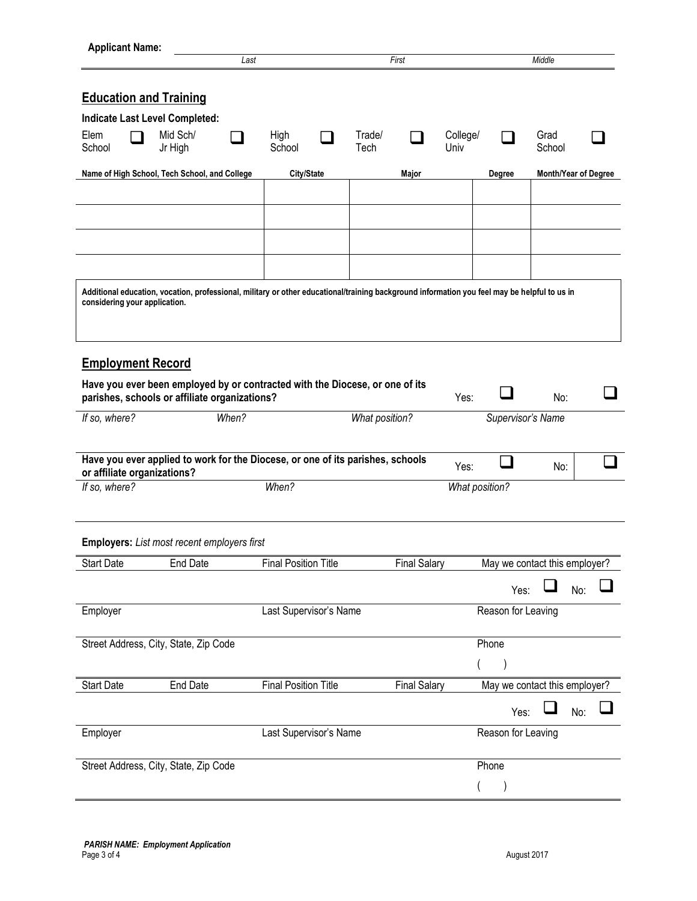|                                              |                                                                                                                                              | Last  |                             |                | First               |                  |                               | Middle            |                      |  |
|----------------------------------------------|----------------------------------------------------------------------------------------------------------------------------------------------|-------|-----------------------------|----------------|---------------------|------------------|-------------------------------|-------------------|----------------------|--|
| <b>Education and Training</b>                |                                                                                                                                              |       |                             |                |                     |                  |                               |                   |                      |  |
|                                              | <b>Indicate Last Level Completed:</b>                                                                                                        |       |                             |                |                     |                  |                               |                   |                      |  |
| Elem<br>School                               | Mid Sch/<br>Jr High                                                                                                                          |       | High<br>School              | Trade/<br>Tech |                     | College/<br>Univ |                               | Grad<br>School    |                      |  |
|                                              | Name of High School, Tech School, and College                                                                                                |       | City/State                  |                | Major               |                  | Degree                        |                   | Month/Year of Degree |  |
|                                              |                                                                                                                                              |       |                             |                |                     |                  |                               |                   |                      |  |
|                                              |                                                                                                                                              |       |                             |                |                     |                  |                               |                   |                      |  |
|                                              |                                                                                                                                              |       |                             |                |                     |                  |                               |                   |                      |  |
| considering your application.                | Additional education, vocation, professional, military or other educational/training background information you feel may be helpful to us in |       |                             |                |                     |                  |                               |                   |                      |  |
|                                              |                                                                                                                                              |       |                             |                |                     |                  |                               |                   |                      |  |
| <b>Employment Record</b>                     |                                                                                                                                              |       |                             |                |                     |                  |                               |                   |                      |  |
|                                              | Have you ever been employed by or contracted with the Diocese, or one of its<br>parishes, schools or affiliate organizations?                |       |                             |                |                     | Yes:             |                               | No:               |                      |  |
|                                              |                                                                                                                                              |       |                             |                |                     |                  |                               |                   |                      |  |
| If so, where?                                |                                                                                                                                              | When? |                             | What position? |                     |                  |                               | Supervisor's Name |                      |  |
|                                              |                                                                                                                                              |       |                             |                |                     |                  |                               |                   |                      |  |
|                                              | Have you ever applied to work for the Diocese, or one of its parishes, schools                                                               |       |                             |                |                     | Yes:             |                               | No:               |                      |  |
| or affiliate organizations?<br>If so, where? |                                                                                                                                              |       | When?                       |                |                     |                  | What position?                |                   |                      |  |
|                                              | <b>Employers:</b> List most recent employers first                                                                                           |       |                             |                |                     |                  |                               |                   |                      |  |
|                                              | <b>End Date</b>                                                                                                                              |       | <b>Final Position Title</b> |                | <b>Final Salary</b> |                  | May we contact this employer? |                   |                      |  |
| <b>Start Date</b>                            |                                                                                                                                              |       |                             |                |                     |                  | Yes:                          |                   | No:                  |  |
| Employer                                     |                                                                                                                                              |       | Last Supervisor's Name      |                |                     |                  | Reason for Leaving            |                   |                      |  |
|                                              | Street Address, City, State, Zip Code                                                                                                        |       |                             |                |                     |                  | Phone                         |                   |                      |  |
|                                              |                                                                                                                                              |       |                             |                |                     |                  |                               |                   |                      |  |
| <b>Start Date</b>                            | <b>End Date</b>                                                                                                                              |       | <b>Final Position Title</b> |                | <b>Final Salary</b> |                  | May we contact this employer? |                   |                      |  |
|                                              |                                                                                                                                              |       |                             |                |                     |                  | Yes:                          |                   | No:                  |  |
|                                              |                                                                                                                                              |       | Last Supervisor's Name      |                |                     |                  | Reason for Leaving            |                   |                      |  |
| Employer                                     | Street Address, City, State, Zip Code                                                                                                        |       |                             |                |                     |                  | Phone                         |                   |                      |  |